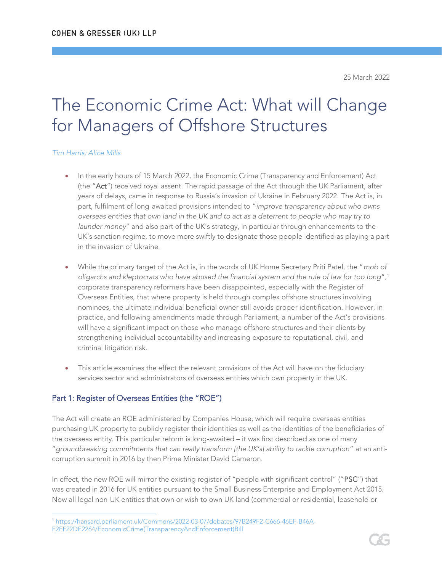25 March 2022

# The Economic Crime Act: What will Change for Managers of Offshore Structures

#### *Tim Harris; Alice Mills*

- In the early hours of 15 March 2022, the Economic Crime (Transparency and Enforcement) Act (the "Act") received royal assent. The rapid passage of the Act through the UK Parliament, after years of delays, came in response to Russia's invasion of Ukraine in February 2022. The Act is, in part, fulfilment of long-awaited provisions intended to "*improve transparency about who owns overseas entities that own land in the UK and to act as a deterrent to people who may try to launder money*" and also part of the UK's strategy, in particular through enhancements to the UK's sanction regime, to move more swiftly to designate those people identified as playing a part in the invasion of Ukraine.
- While the primary target of the Act is, in the words of UK Home Secretary Priti Patel, the "*mob of oligarchs and kleptocrats who have abused the financial system and the rule of law for too long*",<sup>1</sup> corporate transparency reformers have been disappointed, especially with the Register of Overseas Entities, that where property is held through complex offshore structures involving nominees, the ultimate individual beneficial owner still avoids proper identification. However, in practice, and following amendments made through Parliament, a number of the Act's provisions will have a significant impact on those who manage offshore structures and their clients by strengthening individual accountability and increasing exposure to reputational, civil, and criminal litigation risk.
- This article examines the effect the relevant provisions of the Act will have on the fiduciary services sector and administrators of overseas entities which own property in the UK.

#### Part 1: Register of Overseas Entities (the "ROE")

The Act will create an ROE administered by Companies House, which will require overseas entities purchasing UK property to publicly register their identities as well as the identities of the beneficiaries of the overseas entity. This particular reform is long-awaited – it was first described as one of many "*groundbreaking commitments that can really transform [the UK's] ability to tackle corruption*" at an anticorruption summit in 2016 by then Prime Minister David Cameron.

In effect, the new ROE will mirror the existing register of "people with significant control" ("PSC") that was created in 2016 for UK entities pursuant to the Small Business Enterprise and Employment Act 2015. Now all legal non-UK entities that own or wish to own UK land (commercial or residential, leasehold or



<sup>1</sup> [https://hansard.parliament.uk/Commons/2022-03-07/debates/97B249F2-C666-46EF-B46A-](https://hansard.parliament.uk/Commons/2022-03-07/debates/97B249F2-C666-46EF-B46A-F2FF22DE2264/EconomicCrime(TransparencyAndEnforcement)Bill)[F2FF22DE2264/EconomicCrime\(TransparencyAndEnforcement\)Bill](https://hansard.parliament.uk/Commons/2022-03-07/debates/97B249F2-C666-46EF-B46A-F2FF22DE2264/EconomicCrime(TransparencyAndEnforcement)Bill)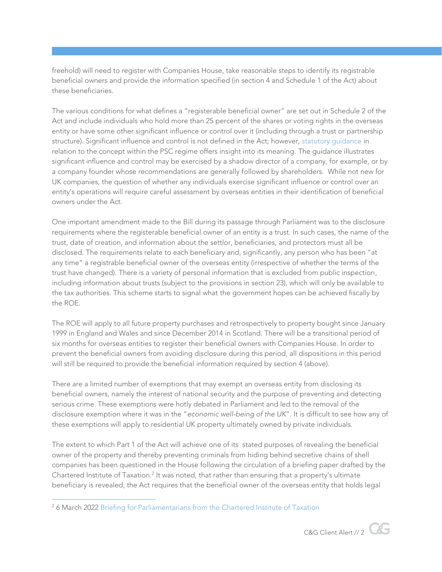freehold) will need to register with Companies House, take reasonable steps to identify its registrable beneficial owners and provide the information specified (in section 4 and Schedule 1 of the Act) about these beneficiaries.

The various conditions for what defines a "registerable beneficial owner" are set out in Schedule 2 of the Act and include individuals who hold more than 25 percent of the shares or voting rights in the overseas entity or have some other significant influence or control over it (including through a trust or partnership structure). Significant influence and control is not defined in the Act; however, [statutory guidance](https://assets.publishing.service.gov.uk/government/uploads/system/uploads/attachment_data/file/675104/psc-statutory-guidance-companies.pdf) in relation to the concept within the PSC regime offers insight into its meaning. The guidance illustrates significant influence and control may be exercised by a shadow director of a company, for example, or by a company founder whose recommendations are generally followed by shareholders. While not new for UK companies, the question of whether any individuals exercise significant influence or control over an entity's operations will require careful assessment by overseas entities in their identification of beneficial owners under the Act.

One important amendment made to the Bill during its passage through Parliament was to the disclosure requirements where the registerable beneficial owner of an entity is a trust. In such cases, the name of the trust, date of creation, and information about the settlor, beneficiaries, and protectors must all be disclosed. The requirements relate to each beneficiary and, significantly, any person who has been "at any time" a registrable beneficial owner of the overseas entity (irrespective of whether the terms of the trust have changed). There is a variety of personal information that is excluded from public inspection, including information about trusts (subject to the provisions in section 23), which will only be available to the tax authorities. This scheme starts to signal what the government hopes can be achieved fiscally by the ROE.

The ROE will apply to all future property purchases and retrospectively to property bought since January 1999 in England and Wales and since December 2014 in Scotland. There will be a transitional period of six months for overseas entities to register their beneficial owners with Companies House. In order to prevent the beneficial owners from avoiding disclosure during this period, all dispositions in this period will still be required to provide the beneficial information required by section 4 (above).

There are a limited number of exemptions that may exempt an overseas entity from disclosing its beneficial owners, namely the interest of national security and the purpose of preventing and detecting serious crime. These exemptions were hotly debated in Parliament and led to the removal of the disclosure exemption where it was in the "*economic well-being of the UK*". It is difficult to see how any of these exemptions will apply to residential UK property ultimately owned by private individuals.

The extent to which Part 1 of the Act will achieve one of its stated purposes of revealing the beneficial owner of the property and thereby preventing criminals from hiding behind secretive chains of shell companies has been questioned in the House following the circulation of a briefing paper drafted by the Chartered Institute of Taxation.<sup>2</sup> It was noted, that rather than ensuring that a property's ultimate beneficiary is revealed, the Act requires that the beneficial owner of the overseas entity that holds legal

<sup>&</sup>lt;sup>2</sup> 6 March 2022 [Briefing for Parliamentarians from the Chartered Institute of Taxation](https://assets-eu-01.kc-usercontent.com/220a4c02-94bf-019b-9bac-51cdc7bf0d99/d2c1e271-cca9-4c7c-9974-9d3b899087ea/Economic%20Crime%20Bill%20CIOT%20Briefing%20Overseas%20Entities%20Register%20FINAL.pdf)

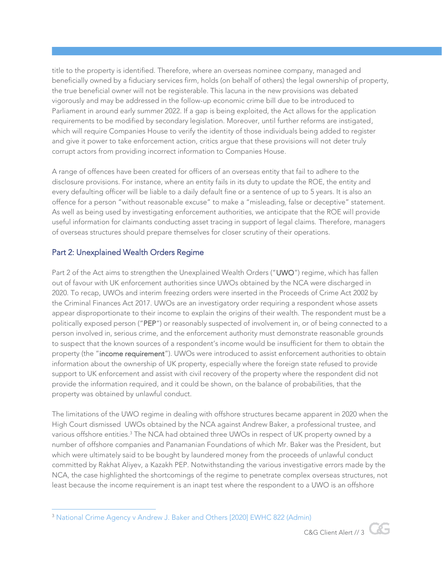title to the property is identified. Therefore, where an overseas nominee company, managed and beneficially owned by a fiduciary services firm, holds (on behalf of others) the legal ownership of property, the true beneficial owner will not be registerable. This lacuna in the new provisions was debated vigorously and may be addressed in the follow-up economic crime bill due to be introduced to Parliament in around early summer 2022. If a gap is being exploited, the Act allows for the application requirements to be modified by secondary legislation. Moreover, until further reforms are instigated, which will require Companies House to verify the identity of those individuals being added to register and give it power to take enforcement action, critics argue that these provisions will not deter truly corrupt actors from providing incorrect information to Companies House.

A range of offences have been created for officers of an overseas entity that fail to adhere to the disclosure provisions. For instance, where an entity fails in its duty to update the ROE, the entity and every defaulting officer will be liable to a daily default fine or a sentence of up to 5 years. It is also an offence for a person "without reasonable excuse" to make a "misleading, false or deceptive" statement. As well as being used by investigating enforcement authorities, we anticipate that the ROE will provide useful information for claimants conducting asset tracing in support of legal claims. Therefore, managers of overseas structures should prepare themselves for closer scrutiny of their operations.

## Part 2: Unexplained Wealth Orders Regime

Part 2 of the Act aims to strengthen the Unexplained Wealth Orders ("UWO") regime, which has fallen out of favour with UK enforcement authorities since UWOs obtained by the NCA were discharged in 2020. To recap, UWOs and interim freezing orders were inserted in the Proceeds of Crime Act 2002 by the Criminal Finances Act 2017. UWOs are an investigatory order requiring a respondent whose assets appear disproportionate to their income to explain the origins of their wealth. The respondent must be a politically exposed person ("PEP") or reasonably suspected of involvement in, or of being connected to a person involved in, serious crime, and the enforcement authority must demonstrate reasonable grounds to suspect that the known sources of a respondent's income would be insufficient for them to obtain the property (the "income requirement"). UWOs were introduced to assist enforcement authorities to obtain information about the ownership of UK property, especially where the foreign state refused to provide support to UK enforcement and assist with civil recovery of the property where the respondent did not provide the information required, and it could be shown, on the balance of probabilities, that the property was obtained by unlawful conduct.

The limitations of the UWO regime in dealing with offshore structures became apparent in 2020 when the High Court dismissed UWOs obtained by the NCA against Andrew Baker, a professional trustee, and various offshore entities.<sup>3</sup> The NCA had obtained three UWOs in respect of UK property owned by a number of offshore companies and Panamanian Foundations of which Mr. Baker was the President, but which were ultimately said to be bought by laundered money from the proceeds of unlawful conduct committed by Rakhat Aliyev, a Kazakh PEP. Notwithstanding the various investigative errors made by the NCA, the case highlighted the shortcomings of the regime to penetrate complex overseas structures, not least because the income requirement is an inapt test where the respondent to a UWO is an offshore

<sup>&</sup>lt;sup>3</sup> [National Crime Agency v Andrew J. Baker and Others \[2020\] EWHC 822 \(Admin\)](https://www.judiciary.uk/wp-content/uploads/2020/04/Approved-Judgment-NCA-v-Baker-Ors.pdf)

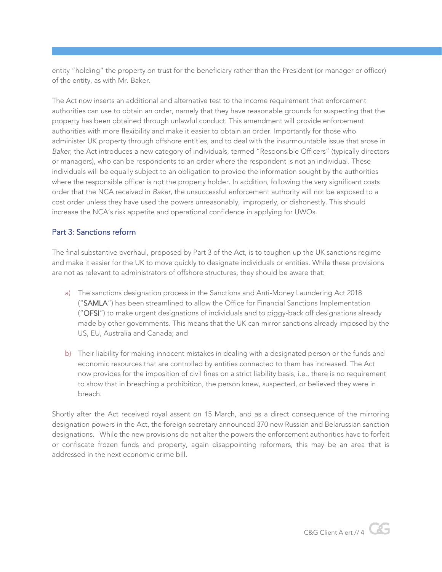entity "holding" the property on trust for the beneficiary rather than the President (or manager or officer) of the entity, as with Mr. Baker.

The Act now inserts an additional and alternative test to the income requirement that enforcement authorities can use to obtain an order, namely that they have reasonable grounds for suspecting that the property has been obtained through unlawful conduct. This amendment will provide enforcement authorities with more flexibility and make it easier to obtain an order. Importantly for those who administer UK property through offshore entities, and to deal with the insurmountable issue that arose in *Baker*, the Act introduces a new category of individuals, termed "Responsible Officers" (typically directors or managers), who can be respondents to an order where the respondent is not an individual. These individuals will be equally subject to an obligation to provide the information sought by the authorities where the responsible officer is not the property holder. In addition, following the very significant costs order that the NCA received in *Baker*, the unsuccessful enforcement authority will not be exposed to a cost order unless they have used the powers unreasonably, improperly, or dishonestly. This should increase the NCA's risk appetite and operational confidence in applying for UWOs.

## Part 3: Sanctions reform

The final substantive overhaul, proposed by Part 3 of the Act, is to toughen up the UK sanctions regime and make it easier for the UK to move quickly to designate individuals or entities. While these provisions are not as relevant to administrators of offshore structures, they should be aware that:

- a) The sanctions designation process in the Sanctions and Anti-Money Laundering Act 2018 ("SAMLA") has been streamlined to allow the Office for Financial Sanctions Implementation ("OFSI") to make urgent designations of individuals and to piggy-back off designations already made by other governments. This means that the UK can mirror sanctions already imposed by the US, EU, Australia and Canada; and
- b) Their liability for making innocent mistakes in dealing with a designated person or the funds and economic resources that are controlled by entities connected to them has increased. The Act now provides for the imposition of civil fines on a strict liability basis, i.e., there is no requirement to show that in breaching a prohibition, the person knew, suspected, or believed they were in breach.

Shortly after the Act received royal assent on 15 March, and as a direct consequence of the mirroring designation powers in the Act, the foreign secretary announced 370 new Russian and Belarussian sanction designations. While the new provisions do not alter the powers the enforcement authorities have to forfeit or confiscate frozen funds and property, again disappointing reformers, this may be an area that is addressed in the next economic crime bill.

C&G Client Alert // 4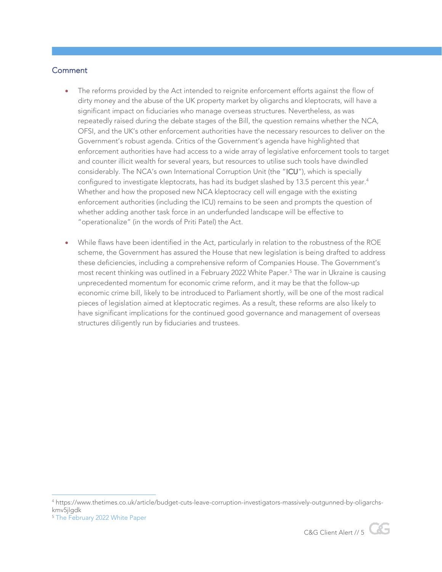#### **Comment**

- The reforms provided by the Act intended to reignite enforcement efforts against the flow of dirty money and the abuse of the UK property market by oligarchs and kleptocrats, will have a significant impact on fiduciaries who manage overseas structures. Nevertheless, as was repeatedly raised during the debate stages of the Bill, the question remains whether the NCA, OFSI, and the UK's other enforcement authorities have the necessary resources to deliver on the Government's robust agenda. Critics of the Government's agenda have highlighted that enforcement authorities have had access to a wide array of legislative enforcement tools to target and counter illicit wealth for several years, but resources to utilise such tools have dwindled considerably. The NCA's own International Corruption Unit (the "ICU"), which is specially configured to investigate kleptocrats, has had its budget slashed by 13.5 percent this year.<sup>4</sup> Whether and how the proposed new NCA kleptocracy cell will engage with the existing enforcement authorities (including the ICU) remains to be seen and prompts the question of whether adding another task force in an underfunded landscape will be effective to "operationalize" (in the words of Priti Patel) the Act.
- While flaws have been identified in the Act, particularly in relation to the robustness of the ROE scheme, the Government has assured the House that new legislation is being drafted to address these deficiencies, including a comprehensive reform of Companies House. The Government's most recent thinking was outlined in a February 2022 White Paper.<sup>5</sup> The war in Ukraine is causing unprecedented momentum for economic crime reform, and it may be that the follow-up economic crime bill, likely to be introduced to Parliament shortly, will be one of the most radical pieces of legislation aimed at kleptocratic regimes. As a result, these reforms are also likely to have significant implications for the continued good governance and management of overseas structures diligently run by fiduciaries and trustees.





<sup>4</sup> https://www.thetimes.co.uk/article/budget-cuts-leave-corruption-investigators-massively-outgunned-by-oligarchskmv5jlgdk

<sup>5</sup> [The February 2022 White Paper](https://assets.publishing.service.gov.uk/government/uploads/system/uploads/attachment_data/file/1058537/corporate-transparency-white-paper.pdf)